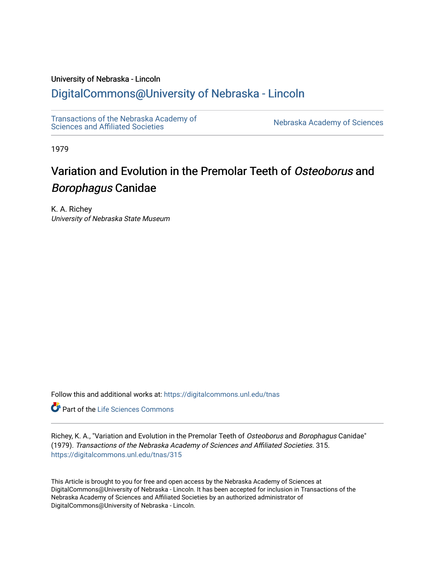## University of Nebraska - Lincoln

## [DigitalCommons@University of Nebraska - Lincoln](https://digitalcommons.unl.edu/)

[Transactions of the Nebraska Academy of](https://digitalcommons.unl.edu/tnas)  Transactions of the Nebraska Academy of Sciences<br>Sciences and Affiliated Societies

1979

# Variation and Evolution in the Premolar Teeth of Osteoborus and Borophagus Canidae

K. A. Richey University of Nebraska State Museum

Follow this and additional works at: [https://digitalcommons.unl.edu/tnas](https://digitalcommons.unl.edu/tnas?utm_source=digitalcommons.unl.edu%2Ftnas%2F315&utm_medium=PDF&utm_campaign=PDFCoverPages) 

**Part of the Life Sciences Commons** 

Richey, K. A., "Variation and Evolution in the Premolar Teeth of Osteoborus and Borophagus Canidae" (1979). Transactions of the Nebraska Academy of Sciences and Affiliated Societies. 315. [https://digitalcommons.unl.edu/tnas/315](https://digitalcommons.unl.edu/tnas/315?utm_source=digitalcommons.unl.edu%2Ftnas%2F315&utm_medium=PDF&utm_campaign=PDFCoverPages) 

This Article is brought to you for free and open access by the Nebraska Academy of Sciences at DigitalCommons@University of Nebraska - Lincoln. It has been accepted for inclusion in Transactions of the Nebraska Academy of Sciences and Affiliated Societies by an authorized administrator of DigitalCommons@University of Nebraska - Lincoln.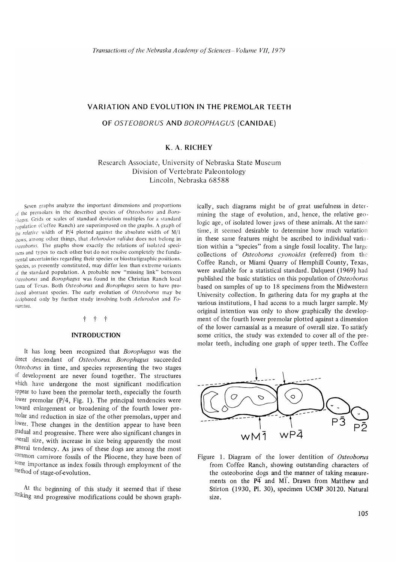#### VARIATION AND EVOLUTION IN THE PREMOLAR TEETH

#### OF *OSTEOBORUS* AND *BOROPHAGUS* (CANIDAE)

## K. A. RICHEY

## Research Associate, University of Nebraska State Museum Division of Vertebrate Paleontology Lincoln, Nebraska 68588

Seven graphs analyze the important dimensions and proportions of the premolars in the described species of *Osteoborus* and *Boroinguls*. Grids or scales of standard deviation multiples for a standard population (Coffee Ranch) are superimposed on the graphs. A graph of the relative width of P/4 plotted against the absolute width of M/1 ,/JOWS, among other things, that *Aelurodoll l'atidlls* docs not belong in *<i>l*steoborus. The graphs show exactly the relations of isolated specimens and types to each other but do not resolve completely the fundamental uncertain ties regarding their species or biostra tigraphic positions. Species, as presently constituted, may differ less than extreme variants of the standard population. A probable new "missing link" between *Osteoborus* and *Borophagus* was found in the Christian Ranch local fauna of Texas. Both Osteoborus and *Borophagus* seem to have produced aberrant species. The early evolution of Osteoborus may be deciphered only by further study involving both *Aelurodon* and To*illarc/lls.* 

## t t t

#### INTRODUCTION

It has long been recognized that *Borophagus* was the direct descendant of *Osteoborus*. Borophagus succeeded *Osteoborus* in time, and species representing the two stages of development are never found together. The structures which have undergone the most significant modification appear to have been the premolar teeth, especially the fourth lower premolar (P/4, Fig. 1). The principal tendencies were toward enlargement or broadening of the fourth lower premolar and reduction in size of the other premolars, upper and lower. These changes in the dentition appear to have been gradual and progressive. There were also significant changes in overall size, with increase in size being apparently the most general tendency. As jaws of these dogs are among the most common carnivore fossils of the Pliocene, they have been of some importance as index fossils through employment of the method of stage-of-evolution.

At the beginning of this study it seemed that if these striking and progressive modifications could be shown graphically, such diagrams might be of great usefulness in determining the stage of evolution, and, hence, the relative geologic age, of isolated lower jaws of these animals. At the same time, it seemed desirable to determine how much variation in these same features might be ascribed to individual variation within a "species" from a single fossil locality. The large collections of *Osteoborus cyonoides* (referred) from the Coffee Ranch, or Miami Quarry of Hemphill County, Texas, were available for a statistical standard. Dalquest (1969) had published the basic statistics on this population of *Osteoborus* based on samples of up to 18 specimens from the Midwestern University collection. In gathering data for my graphs at the various institutions, I had access to a much larger sample. My original intention was only to show graphically the development of the fourth lower premolar plotted against a dimension of the lower carnassial as a measure of overall size. To satisfy some critics, the study was extended to cover all of the premolar teeth, including one graph of upper teeth. The Coffee



Figure 1. Diagram of the lower dentition of *Osteoborus*  from Coffee Ranch, showing outstanding characters of the osteoborine dogs and the manner of taking measurements on the  $\overline{P4}$  and MI. Drawn from Matthew and Stirton (1930, PI. 30), specimen UCMP 30120. Natural size.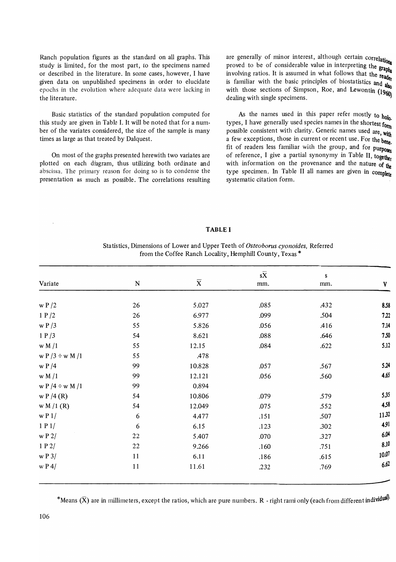Ranch population figures as the standard on all graphs. This study is limited, for the most part, to the specimens named or described in the literature. In some cases, however, I have given data on unpublished specimens in order to elucidate epochs in the evolution where adequate data were lacking in the literature.

Basic statistics of the standard population computed for this study are given in Table 1. It will be noted that for a number of the variates considered, the size of the sample is many times as large as that treated by Dalquest.

On most of the graphs presented herewith two variates are plotted on each diagram, thus utilizing both ordinate and abscissa. The primary reason for doing so is to condense the presentation as much as possible. The correlations resulting are generally of minor interest, although certain correlations proved to be of considerable value in interpreting the graph. involving ratios. It is assumed in what follows that the reader Involving ratios.  $\therefore$  is  $\therefore$  is  $\therefore$  is  $\therefore$  is familiar with the basic principles of biostatistics and  $\frac{d}{dx}$ with those sections of Simpson, Roe, and Lewontin  $(1960)$ dealing with single specimens.

As the names used in this paper refer mostly to  $h_0 h_0$ . types, I have generally used species names in the shortest form possible consistent with clarity. Generic names used are, with a few exceptions, those in current or recent use. For the bene fit of readers less familiar with the group, and for purposes of reference, I give a partial synonymy in Table II, togethe with information on the provenance and the nature of  $_{\text{th}}$ type specimen. In Table II all names are given in complete systematic citation form.

#### TABLE I

#### Statistics, Dimensions of Lower and Upper Teeth of *Osteoborus cyonoides,* Referred from the Coffee Ranch Locality, Hemphill County, Texas \*

|                        |           |                         | $s\overline{X}$ | S    |        |
|------------------------|-----------|-------------------------|-----------------|------|--------|
| Variate                | ${\bf N}$ | $\overline{\textbf{X}}$ | mm.             | mm.  | V      |
| $\le$ P $/2$           | 26        | 5.027                   | .085            | .432 | 8.58   |
| 1 P/2                  | 26        | 6.977                   | .099            | .504 | 7.22   |
| $\leq P/3$             | 55        | 5.826                   | .056            | .416 | 7.14   |
| 1 P/3                  | 54        | 8.621                   | .088            | .646 | 7.50   |
| w M / 1                | 55        | 12.15                   | .084            | .622 | 5.12   |
| w P $/3 \div w$ M $/1$ | 55        | .478                    |                 |      |        |
| w $P/4$                | 99        | 10.828                  | .057            | .567 | 5.24   |
| w M / 1                | 99        | 12.121                  | .056            | .560 | 4.65   |
| w P $/4 \div w$ M $/1$ | 99        | 0.894                   |                 |      |        |
| w P / 4 (R)            | 54        | 10.806                  | .079            | .579 | 5.35   |
| w M / 1 (R)            | 54        | 12.049                  | .075            | .552 | 4,58   |
| $\leq P$ 1/            | 6         | 4.477                   | .151            | .507 | 11.32  |
| 1P1/                   | 6         | 6.15                    | .123            | .302 | 4.91   |
| w P 2/                 | 22        | 5.407                   | .070            | .327 | $6.04$ |
| 1P2/                   | 22        | 9.266                   | .160            | .751 | 8.10   |
| w P 3/                 | 11        | 6.11                    | .186            | .615 | 10.07  |
| $\leq P$ 4/            | $11$      | 11.61                   | .232            | .769 | 6.62   |
|                        |           |                         |                 |      |        |

\*Means  $(X)$  are in millimeters, except the ratios, which are pure numbers. R - right rami only (each from different individual)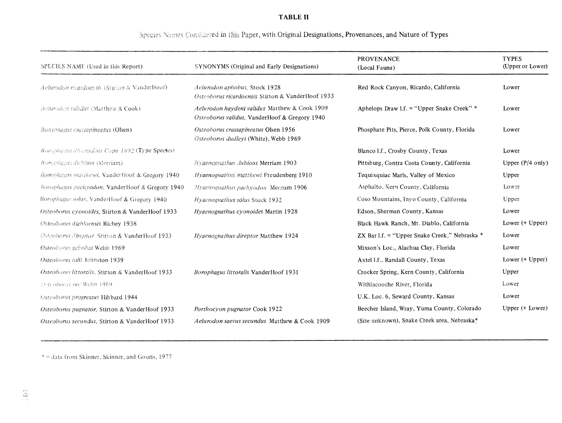## **TABLE II**

## Species Names Considered in this Paper, with Original Designations, Provenances, and Nature of Types

| SPECIES NAME (Used in this Report)                  | SYNONYMS (Original and Early Designations)                                                     | <b>PROVENANCE</b><br>(Local Fauna)            | <b>TYPES</b><br>(Upper or Lower) |
|-----------------------------------------------------|------------------------------------------------------------------------------------------------|-----------------------------------------------|----------------------------------|
| Acturadon ricardoerists (Stirton & VanderHoof)      | Aelurodon aphobus, Stock 1928<br>Osteoborus ricardoensis Stirton & VanderHoof 1933             | Red Rock Canyon, Ricardo, California          | Lower                            |
| Aelurodon validus (Matthew & Cook)                  | Aelurodon haydeni validus Matthew & Cook 1909<br>Osteoborus validus, VanderHoof & Gregory 1940 | Aphelops Draw I.f. = "Upper Snake Creek" *    | Lower                            |
| Borophagus crassapineatus (Olsen)                   | Osteoborus crassapineatus Olsen 1956<br>Osteoborus dudleyi (White), Webb 1969                  | Phosphate Pits, Pierce, Polk County, Florida  | Lower                            |
| Borophagus diversidens Cope 1892 (Type Species)     |                                                                                                | Blanco 1.f., Crosby County, Texas             | Lower                            |
| Borophagus dubious (Merriam)                        | Hygenognathus dubious Merriam 1903                                                             | Pittsburg, Contra Costa County, California    | Upper $(P/4 \text{ only})$       |
| Borophegus matthewi, VanderHoof & Gregory 1940      | Hvaenognathus matthewi Freudenberg 1910                                                        | Tequixquiac Marls, Valley of Mexico           | Upper                            |
| Borophagus pachyodon, VanderHoof & Gregory 1940     | Hyaenognathus pachyodon Merriam 1906                                                           | Asphalto, Kern County, California             | Lower                            |
| <i>Borophagus solus</i> , VanderHoof & Gregory 1940 | Hyaenognathus solus Stock 1932                                                                 | Coso Mountains, Inyo County, California       | Upper                            |
| Osteoborus cyonoides, Stirton & VanderHoof 1933     | Hyaenognathus cyonoides Martin 1928                                                            | Edson, Sherman County, Kansas                 | Lower                            |
| Osteoborus diabloensis Richey 1938                  |                                                                                                | Black Hawk Ranch, Mt. Diablo, California      | Lower (+ Upper)                  |
| Osteoborus direptor. Stirton & VanderHoof 1933      | Hyaenognathus direptor Matthew 1924                                                            | ZX Bar I.f. = "Upper Snake Creek," Nebraska * | Lower                            |
| Osteoborus galushai Webb 1969                       |                                                                                                | Mixson's Loc., Alachua Clay, Florida          | Lower                            |
| Osteoborus hilli Johnston 1939                      |                                                                                                | Axtel 1.f., Randall County, Texas             | Lower (+ Upper)                  |
| Osteoborus littoralis, Stirton & VanderHoof 1933    | Borophagus littoralis VanderHoof 1931                                                          | Crocker Spring, Kern County, California       | Upper                            |
| Osteoborus orc Webb 1969                            |                                                                                                | Withlacooche River, Florida                   | Lower                            |
| <b>Usteoborus progressus Hibbard 1944</b>           |                                                                                                | U.K. Loc. 6, Seward County, Kansas            | Lower                            |
| Osteoborus pugnator, Stirton & VanderHoof 1933      | Porthocyon pugnator Cook 1922                                                                  | Beecher Island, Wray, Yuma County, Colorado   | Upper (+ Lower)                  |
| Osteoborus secundus, Stirton & VanderHoof 1933      | Aelurodon saevus secundus Matthew & Cook 1909                                                  | (Site unknown), Snake Creek area, Nebraska*   |                                  |

\* = data from Skinner, Skinner, and Gooris, 1977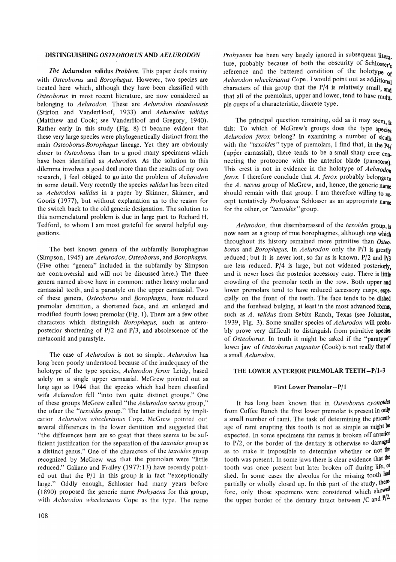#### **DISTINGUISHING** *OSTEOBORUS* AND *AELURODON*

*The* Aelurodon validus *Problem.* This paper deals mainly with *Osteoborus* and *Borophagus.* However, two species are treated here which, although they have been classified with *Osteoborus* in most recent literature, are now considered as belonging to *Aelurodon.* These are *Aelurodon ricardoensis*  (Stirton and VanderHoof, 1933) and *Aelurodon validus*  (Matthew and Cook; see VanderHoof and Gregory, 1940). Rather early in this study (Fig. 8) it became evident that these very large species were phylogenetically distinct from the main *Osteoborus-Borophagus* lineage. Yet they are obviously closer to *Osteoborus* than to a good many specimens which have been identified as *Aelurodon.* As the solution to this dilemma involves a good deal more than the results of my own research, I feel obliged to go into the problem of *Aelurodon*  in some detail. Very recently the species *validus* has been cited as *Aelurodon validus* in a paper by Skinner, Skinner, and Gooris (1977), but without explanation as to the reason for the switch back to the old generic designation. The solution to this nomenclatural problem is due in large part to Richard H. Tedford, to whom I am most grateful for several helpful suggestions.

The best known genera of the subfamily Borophaginae (Simpson, 1945) are *Aelurodon, Osteoborus,* and *Borophagus.*  (Five other "genera" included in the subfamily by Simpson are controversial and will not be discussed here.) The three genera named above have in common: rather heavy molar and carnassial teeth, and a parastyle on the upper carnassial. Two of these genera, *Osteoborus* and *Borophagus,* have reduced premolar dentition, a shortened face, and an enlarged and modified fourth lower premolar (Fig. 1). There are a few other characters which distinguish *Borophagus,* such as anteroposterior shortening of  $P/2$  and  $P/3$ , and absolescence of the metaconid and parastyle.

The case of *Aelurodon* is not so simple. *Aelurodon* has long been poorly understood because of the inadequacy of the holotype of the type species, *Aelurodon ferox* Leidy, based solely on a single upper carnassial. McGrew pointed out as long ago as 1944 that the species which had been classified with *Aelurodon* fell "into two quite distinct groups." One of these groups McGrew called "the *Aelurodon saevus* group," the other the *"taxoides* group." The latter included by implication *Aelurodon wheelerianus* Cope. McGrew pointed out several differences in the lower dentition and suggested that "the differences here are so great that there seems to be sufficient justification for the separation of the *taxoides* group as a distinct genus." One of the characters of the *taxoides* group recognized by McGrew was that the premolars were "little reduced." Galiano and Frailey (1977:13) have recently pointed out that the  $P/1$  in this group is in fact "exceptionally large." Oddly enough, Schlosser had many years before (1890) proposed the generic name *Prohyaena* for this group, with *Aelurodon wheelerianus* Cope as the type. The name *Prohyaena* has been very largely ignored in subsequent litera. ture, probably because of both the obscurity of Schlosser's reference and the battered condition of the holotype of *Aelurodon wheelerianus* Cope. I would point out as additional characters of this group that the *P/4* is relatively small, and that all of the premolars, upper and lower, tend to have multi. pIe cusps of a characteristic, discrete type.

The principal question remaining, odd as it may seem,  $\mathbf{i}_s$ this: To which of McGrew's groups does the type species *Aelurodon ferox* belong? In examining a number of skulls with the "taxoides" type of premolars, I find that, in the Pal (upper carnassial), there tends to be a small sharp crest  $\overline{con}$ . necting the protocone with the anterior blade (paracone). This crest is not in evidence in the holotype of *Aelurodon ferox.* I therefore conclude that *A. ferox* probably belongs to the *A. saevus* group of McGrew, and, hence, the generic name should remain with that group. I am therefore willing to ac. cept tentatively *Prohyaena* Schlosser as an appropriate name for the other, or *"taxoides"* group.

*Aelurodon,* thus disembarrassed of the *taxoides* group, is now seen as a group of true borophagines, although one which throughout its history remained more primitive than *Osteo. borus* and *Borophagus*. In *Aelurodon* only the P/1 is greatly reduced; but it is never lost, so far as is known. P/2 and *P/3*  are less reduced. *P/4* is large, but not widened posteriorly, and it never loses the posterior accessory cusp. There is little crowding of the premolar teeth in the row. Both upper and lower premolars tend to have reduced accessory cusps, espe. cially on the front of the teeth. The face tends to be dished and the forehead bulging, at least in the most advanced forms, such as *A. validus* from Sebits Ranch, Texas (see Johnston, 1939, Fig. 3). Some smaller species of *Aelurodon* will proba· bly prove very difficult to distinguish from primitive species of *Osteoborus.* In truth it might be asked if the "paratype" lower jaw of *Osteoborus pugnator* (Cook) is not really that of a small *Aelurodon.* 

#### THE LOWER ANTERIOR PREMOLAR TEETH-P/l-3

#### First Lower Premolar-P/1

It has long been known that in *Osteoborus cyonoides*  from Coffee Ranch the first lower premolar is present in only a small number of rami. The task of determining the percentage of rami erupting this tooth is not as simple as might be expected. In some specimens the ramus is broken off anterior to P/2, or the border of the dentary is otherwise so damaged as to make it impossible to determine whether or not the tooth was present. In some jaws there is clear evidence that the tooth was once present but later broken off during life, of shed. In some cases the alveolus for the missing tooth had partially or wholly closed up. In this part of the study, therefore, only those specimens were considered which showed the upper border of the dentary intact between *IC* and *p/2.*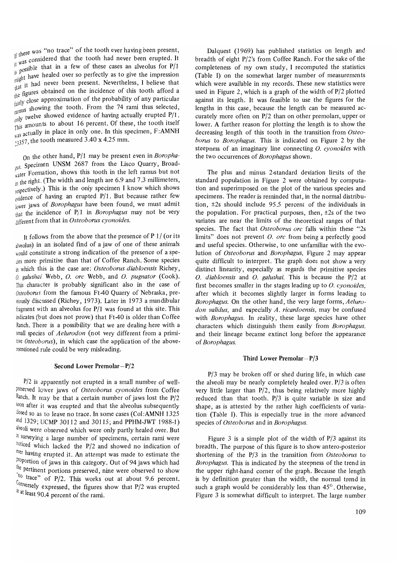If there was "no trace" of the tooth ever having been present,  $\frac{11 \text{ m/s}}{11 \text{ W20}}$  considered that the tooth had never been erupted. It  $\frac{11}{15}$  possible that in a few of these cases an alveolus for P/1  $p^{\text{g}}$  when healed over so perfectly as to give the impression  $n_{\text{half}}$  it had never been present. Nevertheless, I believe that the figures obtained on the incidence of this tooth afford a  $t_{\text{air}}$  close approximation of the probability of any particular  $t_{\text{all,1}}$  showing the tooth. From the 74 rami thus selected,  $\frac{100}{\text{only}}$  twelve showed evidence of having actually erupted P/1.  $\frac{1}{2}$  amounts to about 16 percent. Of these, the tooth itself <sup>1 1145</sup> actually in place in only one. In this specimen, F:AMNH  $\frac{2}{3357}$ , the tooth measured 3.40 x 4.25 mm.

On the other hand, *P/1* may be present even in *Boropha-*<sub>*FUS.* Specimen UNSM 2687 from the Lisco Quarry, Broad-</sub>  $\frac{1}{\sqrt{1-\frac{1}{n}}}\sum_{n=1}^{\infty}$  formation, shows this tooth in the left ramus but not in the right. (The width and length are  $6.9$  and  $7.3$  millimeters, respectively.) This is the only specimen I know which shows evidence of having an erupted *P/1*. But because rather few lower jaws of *Borophagus* have been found, we must admit that the incidence of *P/1* in *Borophagus* may not be very different from that in *Osteoborus cyonoides.* 

It follows from the above that the presence of  $P$  1/ (or its alveolus) in an isolated find of a jaw of one of these animals would constitute a strong indication of the presence of a spe dies more primitive than that of Coffee Ranch. Some species in which this is the case are: *Osteoborus diabloensis* Richey, O. *galushai* Webb, o. *ore* Webb, and O. *pugnator* (Cook). This character is probably significant also in the case of *Osteoborus* from the famous Ft40 Quarry of Nebraska, previously discussed (Richey, 1973). Later in 1973 a mandibular iragment with an alveolus for *P/l* was found at this site. This indicates (but does not prove) that Ft40 is older than Coffee Ranch. There is a possibility that we are dealing here with a small species of *Aelurodon* (not very different from a primitive *Osteobonts),* in which case the application of the abovementioned rule could be very misleading.

#### Second Lower Premolar-P/2

 $P/2$  is apparently not erupted in a small number of wellpreserved lower jaws of *Osteoborus cyonoides* from Coffee Ranch. it may be that a certain number of jaws lost the *P/2*  soon after it was erupted and that the alveolus subsequently closed so as to leave no trace. In some cases (Col:AMNH 1325 and 1329; UCMP 30112 and 30115; and PPHM-JWT 1988-1) alveoli were observed which were only partly healed over. But in surveying a large number of specimens, certain rami were noticed which lacked the P/2 and showed no indication of ever having erupted it. An attempt was made to estimate the proportion of jaws in this category. Out of 94 jaws which had the pertinent portions preserved, nine were observed to show <sup>tho</sup> trace" of *P/2*. This works out at about 9.6 percent. onVersely expressed, the figures show that *P/2* was erupted th at least 90.4 percent of the rami.

Dalquest (1969) has published statistics on length and breadth of eight *P/2's* from Coffee Ranch. For the sake of the completeness of my own study, I recomputed the statistics (Table **I)** on the somewhat larger number of measurements which were available in my records. These new statistics were used in Figure 2, which is a graph of the width of P/2 plotted against its length. It was feasible to use the figures for the lengths in this case, because the length can be measured accurately more often on *P/2* than on other premolars, upper or lower. A further reason for plotting the length is to show the decreasing length of this tooth in the transition from *Osteoborus* to *Borophagus.* This is indicated on Figure 2 by the steepness of an imaginary line connecting O. *cyonoides* with the two occurrences of *Borophagus* shown.

The plus and minus 2-standard deviation limits of the standard population in Figure 2 were obtained by computation and superimposed on the plot of the various species and specimens. The reader is reminded that, in the normal distribution, ±2s should include 95.5 percent of the individuals in the population. For practical purposes, then,  $\pm 2s$  of the two variates are near the limits of the theoretical ranges of that species. The fact that *Osteoborus ore* falls within these "2s limits" does not prevent O. *ore* from being a perfectly good and useful species. Otherwise, to one unfamiliar with the evolution of *Osteoborus* and *Borophagus,* Figure 2 may appear quite difficult to interpret. The graph does not show a very distinct linearity, especially as regards the primitive species O. *diabloensis* and O. *galushai.* This is because the *P/2* at first becomes smaller in the stages leading up to *O. cyonoides*, after which it becomes slightly larger in forms leading to *Borophagus.* On the other hand, the very large forms, *Aelurodon validus,* and especially *A. ricardoensis,* may be confused with *Borophagus.* In reality, these large species have other characters which distinguish them easily from *Borophagus,*  and their lineage became extinct long before the appearance of *Borophagus.* 

#### **Third** Lower Premolar-P/3

*P/3* may be broken off or shed during life, in which case the alveoli may be nearly completely healed over. *P/3* is often very little larger than *P/2,* thus being relatively more highly reduced than that tooth. *P/3* is quite variable in size and shape, as is attested by the rather high coefficients of variation (Table I). This is especially true in the more advanced species of *Osteoborus* and in *Borophagus.* 

Figure 3 is a simple plot of the width of *P/3* against its breadth. The purpose of this figure is to show antero-posterior shortening of the *P/3* in the transition from *Osteoborus* to *Borophagus.* This is indicated' by the steepness of the trend in the upper right-hand corner of the graph. Because the length is by definition greater than the width, the normal trend in such a graph would be considerably less than  $45^{\circ}$ . Otherwise, Figure 3 is somewhat difficult to interpret. The large number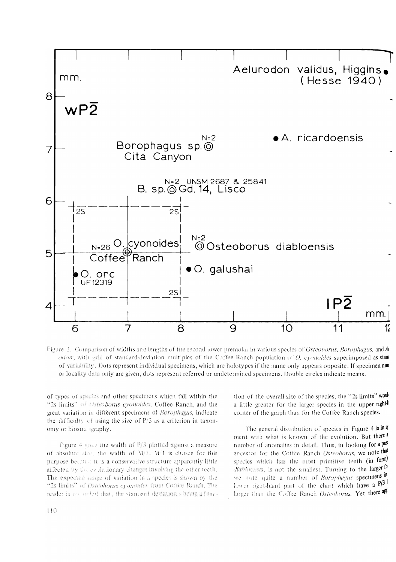

Figure 2. Comparison of widths and lengths of the second lower premolar in various species of Osteoborus, Borophagus, and A odon; with grid of standard-deviation multiples of the Coffee Ranch population of O. cyonoides superimposed as stand of variability. Dots represent individual specimens, which are holotypes if the name only appears opposite. If specimen num or locality data only are given, dots represent referred or undetermined specimens. Double circles indicate means.

of types of species and other specimens which fall within the "2s limits" of *Osteoborus cyonoides*, Coffee Ranch, and the great variation in different specimens of Borophagus, indicate the difficulty of using the size of  $P/3$  as a criterion in taxonomy or biostratigraphy.

Figure 4 gives the width of  $P/3$  plotted against a measure of absolute size, the width of  $M/1$ .  $M/1$  is chosen for this purpose because it is a conservative structure apparently little affected by the evolutionary changes involving the other teeth. The expected range of variation in a species is shown by the "2s limits" of Osteoborus eyonoides from Coffee Ranch, The reader is reported that, the standard deviation's being a function of the overall size of the species, the "2s limits" would a little greater for the larger species in the upper righth corner of the graph than for the Coffee Ranch species.

The general distribution of species in Figure 4 is in a ment with what is known of the evolution. But there a number of anomalies in detail. Thus, in looking for a pos ancestor for the Coffee Ranch Osteoborus, we note that species which has the most primitive teeth (in form) diablocusis, is not the smallest. Turning to the larger fo we note quite a number of *Borophagus* specimens in lower right-hand part of the chart which have a  $P/3$ <sup>1</sup> larger than the Coffee Ranch Osteoborus. Yet there apf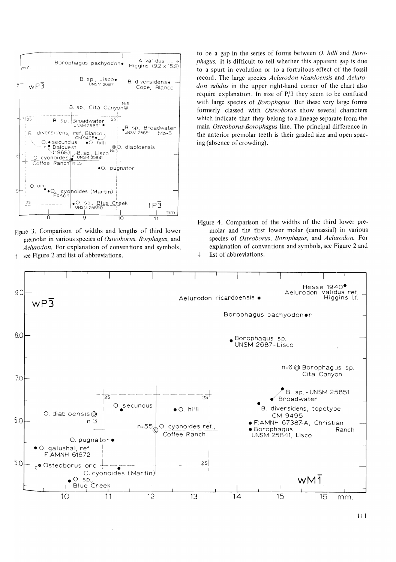

Figure 3. Comparison of widths and lengths of third lower premolar in various species of *Osteoborus, Borphagus,* and *Aelurodon.* For explanation of conventions and symbols, see Figure 2 and list of abbreviations.  $\uparrow$ 

to be a gap in the series of forms between *0. hilli* and *Boraphagus.* It is difficult to tell whether this apparent gap is due to a spurt in evolution or to a fortuitous effect of the fossil record. The large species *Aelurodon ricardoensis* and *Aelurodon validus* in the upper right-hand corner of the chart also require explanation. In size of P/3 they seem to be confused with large species of *Borophagus.* But these very large forms formerly classed with *Osteoborus* show several characters which indicate that they belong to a lineage separate from the main *Osteoborus-Borophagus* line. The principal difference in the anterior premolar teeth is their graded size and open spacing (absence of crowding).

Figure 4. Comparison of the widths of the third lower premolar and the first lower molar (carnassial) in various species of *Osteoborus, Borophagus,* and *Aelurodon.* For explanation of conventions and symbols, see Figure 2 and  $\downarrow$  list of abbreviations.

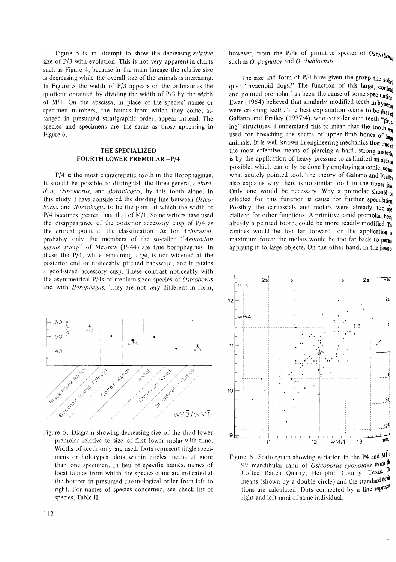Figure 5 is an attempt to show the decreasing *relative*  size of P/3 with evolution. This is not very apparent in charts such as Figure 4, because in the main lineage the relative size is decreasing while the overall size of the animals is increasing. In Figure 5 the width of  $P/3$  appears on the ordinate as the quotient obtained by dividing the width of P/3 by the width of  $M/1$ . On the abscissa, in place of the species' names or specimen numbers, the faunas from which they come, arranged in presumed stratigraphic order, appear instead. The species and specimens are the same as those appearing in Figure 6.

#### THE SPECIALIZED FOURTH LOWER PREMOLAR-P/4

*P/4* is the most characteristic tooth in the Borophaginae. It should be possible to distinguish the three genera, *Aelurodon, Osteoborus, and Borophagus, by this tooth alone. In* this study I have considered the dividing line between *Osteoborus* and *Borophagus* to be the point at which the width of P/4 becomes greater than that of M/1. Some writers have used the disappearance of the posterior accessory cusp of *P/4* as the critical point in the classification. As for *Aelumdon,*  probably only the members of the so-called *"Aelumdon*  saevus group" of McGrew (1944) are true borophagines. In these the  $P/4$ , while remaining large, is not widened at the posterior end or noticeably pitched backward, and it retains a good-sized accessory cusp. These contrast noticeably with the asymmetrical P/4s of medium-sized species of *Osteoborus*  and with *Boropliagus.* They are not very different in form,



Figure 5. Diagram showing decreasing size of the third lower premolar relative to size of first lower molar v'ith time. Widths of teeth only are used. Dots represent single specimens or holotypes, dots within circles means of more than one specimen. In lieu of specific names, names of local faunas from which the species come are indicated at the bottom in presumed chronological order from left to right. For names of species concerned, see check list of species, Table II.

however, from the  $P/4s$  of primitive species of  $Osteob_{\text{OPE}}$ such as O. *pugnator* and O. *diabloensis.* 

The size and form of  $P/4$  have given the group the sobil quet "hyaenoid dogs." The function of this large, conical and pointed premolar has been the cause of some speculation Ewer (1954) believed that similarly modified teeth in hyaena were crushing teeth. The best explanation seems to be that  $_{\text{old}}$ Galiano and Frailey (1977:4), who consider such teeth " $pi_{\text{lept}}$ " ing" structures. I understand this to mean that the tooth  $_{w_{di}}$ used for breaching the shafts of upper limb bones of  $\lim_{n \to \infty}$ animals. It is well known in engineering mechanics that one of the most effective means of piercing a hard, strong material is by the application of heavy pressure to as limited an area. possible, which can only be done by employing a conic, some what acutely pointed tool. The theory of Galiano and Frailey also explains why there is no similar tooth in the upper  $\mathbf{i}_{\mathbf{j}}$ Only one would be necessary. Why a premolar should  $\mathbf{b}$ selected for this function is cause for further speculation Possibly the carnassials and molars were already too  $\frac{1}{2}$ cialized for other functions. A primitive canid premolar, being already a pointed tooth, could be more readily modified.  $\mathbf{m}$ canines would be too far forward for the application  $\theta$ maximum force; the molars would be too far back to permit applying it to large objects. On the other hand, in the jaws of



Figure 6. Scattergram showing variation in the  $\overline{P4}$  and  $\overline{M}$ <sup>1</sup> 99 mandibular rami of *Osteoborus cyonoides* from the Coffee Ranch Quarry, Hemphill County, Texas. Th means (shown by a double circle) and the standard devil tions are calculated. Dots connected by a line represed right and left rami of same individual.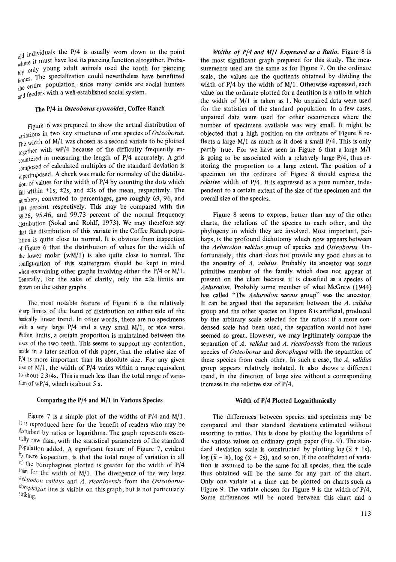$_{\text{old}}$  individuals the P/4 is usually worn down to the point  $\frac{1}{2}$  where it must have lost its piercing function altogether. Probawhere the only young adult animals used the tooth for piercing  $\sum_{k=1}^{p+1}$  The specialization could nevertheless have benefitted where it must have lost its piercing function altogether. Probably only young adult animals used the tooth for piercing bones. The specialization could nevertheless have benefitted the entire population, since many canids the entire population, since many canids are social hunters and feeders with a well-established social system.

#### The P/4 in *Osteoborus cyonoides,* Coffee Ranch

Figure 6 was prepared to show the actual distribution of variations in two key structures of one species of *Osteoborus*. The width of  $M/1$  was chosen as a second variate to be plotted the thermal with wP/4 because of the difficulty frequently en- $\frac{1}{2}$  countered in measuring the length of P/4 accurately. A grid composed of calculated multiples of the standard deviation is superimposed. A check was made for normalcy of the distribu $t_{\text{ion}}$  of values for the width of P/4 by counting the dots which  $f<sub>all</sub>$  within  $\pm 1s$ ,  $\pm 2s$ , and  $\pm 3s$  of the mean, respectively. The numbers, converted to percentages, gave roughly 69, 96, and 100 percent respectively. This may be compared with the  $68.26$ , 95.46, and 99.73 percent of the normal frequency distribution (Sokal and Rohlf, 1973). We may therefore say that the distribution of this variate in the Coffee Ranch population is quite close to normal. It is obvious from inspection of Figure 6 that the distribution of values for the width of the lower molar (wM/l) is also quite close to normal. The configuration of this scattergram should be kept in mind when examining other graphs involving either the P/4 or M/1. Generally, for the sake of clarity, only the  $\pm 2s$  limits are shown on the other graphs.

The most notable feature of Figure 6 is the relatively sharp limits of the band of distribution on either side of the basically linear trend. In other words, there are no specimens with a very large  $P/4$  and a very small  $M/1$ , or vice versa. Within limits, a certain proportion is maintained between the sizes of the two teeth. This seems to support my contention, made in a later section of this paper, that the relative size of  $P/4$  is more important than its absolute size. For any given size of  $M/1$ , the width of P/4 varies within a range equivalent to about 23/4s. This is much less than the total range of variation of  $wP/4$ , which is about 5 s.

#### Comparing the P/4 and M/I in Various Species

Figure 7 is a simple plot of the widths of  $P/4$  and  $M/1$ . It is reproduced here for the benefit of readers who may be disturbed by ratios or logarithms. The graph represents essentially raw data, with the statistical parameters of the standard Population added. A significant feature of Figure 7, evident by mere inspection, is that the total range of variation in all <sup>of the</sup> borophagines plotted is greater for the width of P/4 than for the width of M/1. The divergence of the very large *Aelurodon J!alidus* and *A. ricardoensis* from the *Osteoborus-Borophagus* line is visible on this graph, but is not particularly striking.

*Widths of P/4 and M/1 Expressed as a Ratio.* Figure 8 is the most significant graph prepared for this study. The measurements used are the same as for Figure 7. On the ordinate scale, the values are the quotients obtained by dividing the width of P/4 by the width of M/1. Otherwise expressed, each value on the ordinate plotted for a dentition is a ratio in which the width of M/1 is taken as 1. No unpaired data were used for the statistics of the standard population. In a few cases, unpaired data were used for other occurrences where the number of specimens available was very small. It might be objected that a high position on the ordinate of Figure 8 reflects a large  $M/1$  as much as it does a small  $P/4$ . This is only partly true. For we have seen in Figure 6 that a large M/1 is going to be associated with a relatively large P/4, thus restoring the proportion to a large extent. The position of a specimen on the ordinate of Figure 8 should express the *relative* width of P/4. It is expressed as a pure number, independent to a certain extent of the size of the specimen and the overall size of the species.

Figure 8 seems to express, better than any of the other charts, the relations of the species to each other, and the phylogeny in which they are involved. Most important, perhaps, is the profound dichotomy which now appears between the *Aelurodon validus* group of species and *Osteoborus.* Unfortunately, this chart does not provide any good clues as to the ancestry of *A. validus.* Probably its ancestor was some primitive member of the family which does not appear at present on the chart because it is classified as a species of *A elurodon.* Probably some member of what McGrew (1944) has called "The *Aelurodon saevus* group" was the ancestor. It can be argued that the separation between the *A. validus*  group and the other species on Figure 8 is artificial, produced by the arbitrary scale selected for the ratios: if a more condensed scale had been used, the separation would not have seemed so great. However, we may legitimately compare the separation of *A. validus* and *A. ricardoensis* from the various species of *Osteoborus* and *Borophagus* with the separation of these species from each other. In such a case, the *A. validus*  group appears relatively isolated. It also shows a different trend, in the direction of large size without a corresponding increase in the relative size of P/4.

#### **Width** of P/4 Plotted Logarithmically

The differences between species and specimens may be compared and their standard deviations estimated without resorting to ratios. This is done by plotting the logarithms of the various values on ordinary graph paper (Fig. 9). The standard deviation scale is constructed by plotting  $\log (\bar{x} + 1s)$ ,  $log (\bar{x} - ls)$ ,  $log (\bar{x} + 2s)$ , and so on. If the coefficient of variation is assumed to be the same for all species, then the scale thus obtained will be the same for any part of the chart. Only one variate at a time can be plotted on charts such as Figure 9. The variate chosen for Figure 9 is the width of P/4. Some differences will be noted between this chart and a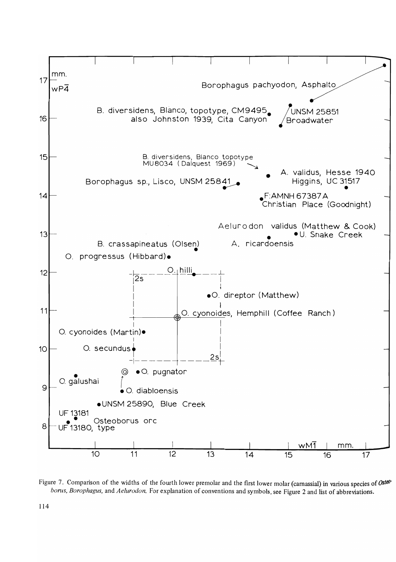

Figure 7. Comparison of the widths of the fourth lower premolar and the first lower molar (carnassial) in various species of Osteoborus, Borophagus, and Aelurodon. For explanation of conventions and symbols, see Figure 2 and list of abbreviations.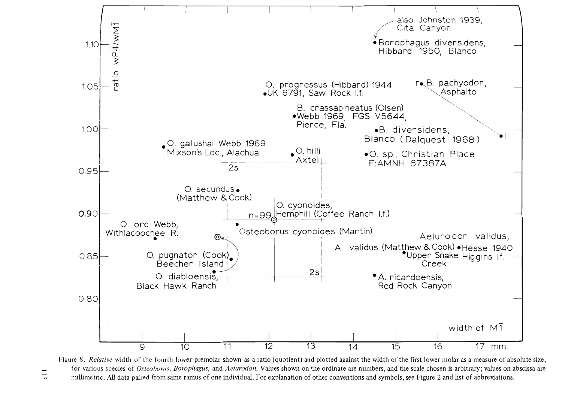

Figure 8. Relative width of the fourth lower premolar shown as a ratio (quotient) and plotted against the width of the first lower molar as a measure of absolute size, for various species of Osteoborus, Borophagus, and Aelurodon. Values shown on the ordinate are numbers, and the scale chosen is arbitrary; values on abscissa are millimetric. All data paired from same ramus of one individual. For explanation of other conventions and symbols, see Figure 2 and list of abbreviations.

115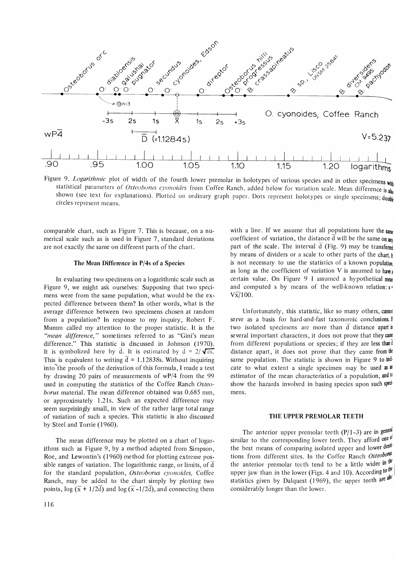

Figure 9. *Logarithmic* plot of width of the fourth lower premolar in holotypes of various species and in other specimens with statistical parameters of *Osteoborus cyonoides* from Coffee Ranch, added below for variation scale. Mean difference is also shown (see text for explanations). Plotted on ordinary graph paper. Dots represent holotypes or single specimens; double circles represent means.

comparable chart, such as Figure 7. This is because, on a numerical scale such as is used in Figure 7, standard deviations are not exactly the same on different parts of the chart.

#### The Mean Difference in P/4s of a Species

In evaluating two specimens on a logarithmic scale such as Figure 9, we might ask ourselves: Supposing that two specimens were from the same population, what would be the expected difference between them? In other words, what is the average difference between two specimens chosen at random from a population? In response to my inquiry, Robert F. Mumm called my attention to the proper statistic. It is the *"mean difference,"* sometimes referred to as "Gini's mean difference." This statistic is discussed in 10hnson (1970). It is symbolized here by  $\overline{d}$ . It is estimated by  $\overline{d} = 2/\sqrt{\pi s}$ . This is equivalent to writing  $\overline{d} = 1.12838$ s. Without inquiring into the proofs of the derivation of this formula, I made a test by drawing 20 pairs of measurements of wP/4 from the 99 used in computing the statistics of the Coffee Ranch *Osteoborus* material. The mean difference obtained was 0.685 mm, or approximately 1.21s. Such an expected difference may seem surprisingly small, in view of the rather large total range of variation of such a species. This statistic is also discussed by Steel and Torrie (1960).

The mean difference may be plotted on a chart of logarithms such as Figure 9, by a method adapted from Simpson, Roe, and Lewontin's (1960) method for plotting extreme possible ranges of variation. The logarithmic range, or limits, of  $\overline{d}$ for the standard population, *Osteoborus cyonoides,* Coffee Ranch, may be added to the chart simply by plotting two points,  $\log (\overline{x} + 1/2\overline{d})$  and  $\log (\overline{x} - 1/2\overline{d})$ , and connecting them

with a line. If we assume that all populations have the  $sum$ coefficient of variation, the distance  $\overline{d}$  will be the same on any part of the scale. The interval  $\overline{d}$  (Fig. 9) may be transferred by means of dividers or a scale to other parts of the chart. If is not necessary to use the statistics of a known population. as long as the coefficient of variation V is assumed to have a certain value. On Figure 9 I assumed a hypothetical mean and computed s by means of the well-known relation:  $s =$  $V\bar{x}/100$ .

Unfortunately, this statistic, like so many others, cannot serve as a basis for hard-and-fast taxonomic conclusions. If two isolated specimens are more than  $\overline{d}$  distance apart in several important characters, it does not prove that they came from different populations or species; if they are less thand distance apart, it does not prove that they came from the same population. The statistic is shown in Figure 9 to  $\text{ind}$ cate to what extent a single specimen may be used as  $\mathbf{a}$ estimator of the mean characteristics of a population, and  $\mathfrak{w}$ show the hazards involved in basing species upon such specimens.

#### THE UPPER PREMOLAR TEETH

The anterior upper premolar teeth  $(P/1-3)$  are in general similar to the corresponding lower teeth. They afford one of the best means of comparing isolated upper and lower denttions from different sites. In the Coffee Ranch OsteoboTul. the anterior premolar teeth tend to be a little wider in  $\mathbb{I}^{\text{th}}$ upper jaw than in the lower (Figs. 4 and 10). According to the statistics given by Dalquest  $(1969)$ , the upper teeth are also considerably longer than the lower.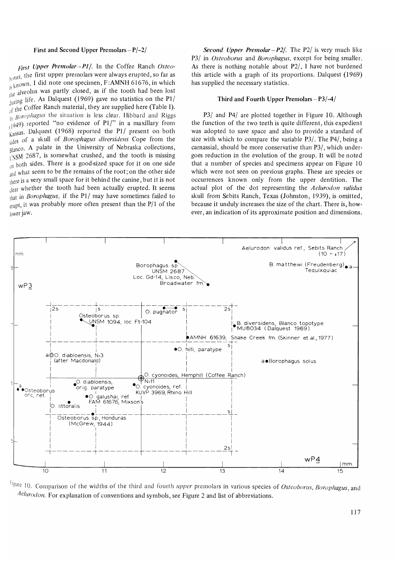#### First and Second Upper Premolars-P/-2/

*First Upper Premolar--P1/.* In the Coffee Ranch Osteo- $_{h0}$ *rus*, the first upper premolars were always erupted, so far as  $\frac{m}{k}$  known. I did note one specimen, F:AMNH 61676, in which If  $e^{i\theta}$  alveolus was partly closed, as if the tooth had been lost  $\frac{100}{3}$  life. As Dalquest (1969) gave no statistics on the PI/  $\frac{1}{\sqrt{1}}$  the Coffee Ranch material, they are supplied here (Table I). <sup>1</sup><sup>1</sup> Boroplagus the situation is less clear. Hibbard and Riggs  $(1949)$  reported "no evidence of P1/" in a maxillary from Kansas. Dalquest (1968) reported the Pl/ present on both Sides of a skull of *Borophagus diversidens* Cope from the  $F_{\text{RI} \text{an} \text{co}}$ . A palate in the University of Nebraska collections,  $L$ <sub>I</sub>NSM 2687, is somewhat crushed, and the tooth is missing  $\frac{1}{100}$  both sides. There is a good-sized space for it on one side and what seem to be the remains of the root; on the other side there is a very small space for it behind the canine, but it is not dear whether the tooth had been actually erupted. It seems that in *Borophagus,* if the Pl/ may have sometimes failed to  $_{\text{e}$ upt, it was probably more often present than the P/1 of the lower jaw.

*Second Upper Premolar - P2/. The P2/ is very much like* P3/ in *Osteoborus* and *Borophagus,* except for being smaller. As there is nothing notable about P2/, I have not burdened this article with a graph of its proportions. Dalquest (1969) has supplied the necessary statistics.

#### Third and Fourth Upper Premolars $-P3/4/$

P3/ and P4/ are plotted together in Figure 10. Although the function of the two teeth is quite different, this expedient was adopted to save space and also to provide a standard of size with which to compare the variable P3/. The P4/, being a carnassial, should be more conservative than P3/, which undergoes reduction in the evolution of the group. It will be noted that a number of species and specimens appear on Figure 10 which were not seen on previous graphs. These are species or occurrences known only from the upper dentition. The actual plot of the dot representing the *Aelurodon validus*  skull from Sebits Ranch, Texas (Johnston, 1939), is omitted, because it unduly increases the size of the chart. There is, however, an indication of its approximate position and dimensions.



figure 10. Comparison of the widths of the third and fourth *upper* premolars in various species of *()steoborus, Borophagus,* and Aelurodon. For explanation of conventions and symbols, see Figure 2 and list of abbreviations.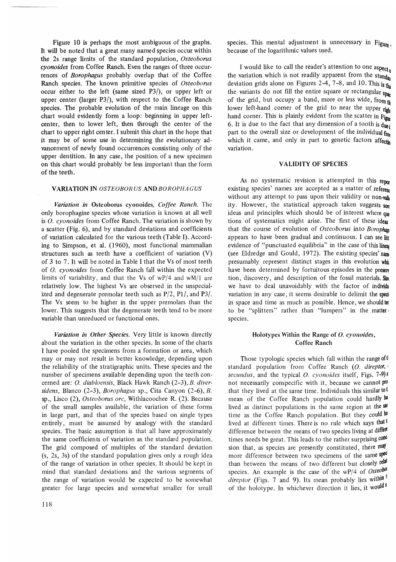Figure 10 is perhaps the most ambiguous of the graphs. It will be noted that a great many named species occur within the 2s range limits of the standard population, *Osteoborus cyonoides* from Coffee Ranch. Even the ranges of three occurrences of *Borophagus* probably overlap that of the Coffee Ranch species. The known primitive species of *Osteoborus*  occur either to the left (same sized P3/), or upper left or upper center (larger P3/), with respect to the Coffee Ranch species. The probable evolution of the main lineage on this chart would evidently form a loop: beginning in upper leftcenter, then to lower left, then through the center of the chart to upper right center. I submit this chart in the hope that it may be of some use in determining the evolutionary advancement of newly found occurrences consisting only of the upper dentition. In any case, the position of a new specimen on this chart would probably be less important than the form of the teeth.

#### VARIATION IN *OSTEOBORUS* AND *BOROPHA GUS*

*Variation in* Osteoborus cyonoides, *Coffee Ranch.* The only borophagine species whose variation is known at all well is O. *cyonoides* from Coffee Ranch. The variation is shown by a scatter (Fig. 6), and by standard deviations and coefficients of variation calculated for the various teeth (Table I). According to Simpson, et al. (1960), most functional mammalian structures such as teeth have a coefficient of variation (V) of 3 to 7. It will be noted in Table I that the Vs of most teeth of O. *cyonoides* from Coffee Ranch fall within the expected limits of variability, and that the Vs of wP/4 and wM/1 are relatively low. The highest Vs are observed in the unspecialized and degenerate premolar teeth such as P/2, PI/, and P3/. The Vs seem to be higher in the upper premolars than the lower. This suggests that the degenerate teeth tend to be more variable than unreduced or functional ones.

Variation in Other Species. Very little is known directly about the variation in the other species. In some of the charts I have pooled the specimens from a formation or area, which may or may not result in better knowledge, depending upon the reliability of the stratigraphic units. These species and the number of specimens available depending upon the teeth concerned are: O. *diabloensis,* Black Hawk Ranch (2-3), *B. diversidens,* Blanco (2-3), *Borophagus* sp., Cita Canyon (2-6), *B.*  sp., Usco (2), *Osteoborus ore,* Withlacoochee R. (2). Because of the small samples available, the variation of these forms in large part, and that of the species based on single types entirely, must be assumed by analogy with the standard species. The basic assumption is that all have approximately the same coefficients of variation as the standard population. The grid composed of multiples of the standard deviation  $(s, 2s, 3s)$  of the standard population gives only a rough idea of the range of variation in other species. It should be kept in mind that standard deviations and the various segments of the range of variation would be expected to be somewhat greater for large species and somewhat smaller for small species. This mental adjustment is unnecessary in Figure because of the logarithmic values used.

I would like to call the reader's attention to one aspect. the variation which is not readily apparent from the standar deviation grids alone on Figures 2 $\overline{4}$ , 7-8, and 10. This is the the variants do not fill the entire square or rectangular  $\frac{S_{\text{par}}}{S_{\text{par}}}$ of the grid, but occupy a band, more or less wide, from the lower left-hand corner of the grid to near the upper  $\mathbf{r}_{\mathbf{R} \mathbf{h}}$ hand corner. This is plainly evident from the scatter in  $F_{\text{lin}}$ 6. It is due to the fact that any dimension of a tooth is  $d_{\text{ue}}$ . part to the overall size or development of the individual  $f_{\text{tot}}$ which it came, and only in part to genetic factors affecting variation.

### VALIDITY OF SPECIES

As no systematic revision is attempted in this repor existing species' names are accepted as a matter of reference without any attempt to pass upon their validity or non-valid ity. However, the statistical approach taken suggests  $_{\text{SOW}}$ ideas and principles which should be of interest where que tions of systematics might arise. The first of these ideas that the course of evolution of *Osteoborus* into *Borophan* appears to have been gradual and continuous. I can see litt evidence of "punctuated equilibria" in the case of this linear-(see Eldredge and Gould, 1972). The existing species' nam presumably represent distinct stages in this evolution which have been determined by fortuitous episodes in the preserv tion, discovery, and description of the fossil materials. Sin we have to deal unavoidably with the factor of individu variation in any case, it seems desirable to delimit the speciin space and time as much as possible. Hence, we should ter to be "splitters" rather than "lumpers" in the matter species.

#### Holotypes Within the Range of O. cyonoides, Coffee Ranch

Those typologic species which fall within the range of  $\mathbb{I}$ standard population from Coffee Ranch (O. direptor, *secundus,* and the typical O. *cyonoides* itself, Figs. 7-9) a not necessarily conspecific with it, because we cannot pro that they lived at the same time. Individuals this similar to  $t$ mean of the Coffee Ranch population could hardly ha lived as distinct populations in the same region at the same time as the Coffee Ranch population. But they could ha lived at different times. There is no rule which says that t difference between the means of two species living at different times needs be great. This leads to the rather surprising conc sion that, as species are presently constituted, there  $m$ ay more difference between two specimens of the same spec than between the means of two different but closely relat species. An example is the case of the wP/4 of Osteobol direptor (Figs. 7 and 9). Its mean probably lies within <sup>j</sup> of the holotype. In whichever direction it lies, it woulds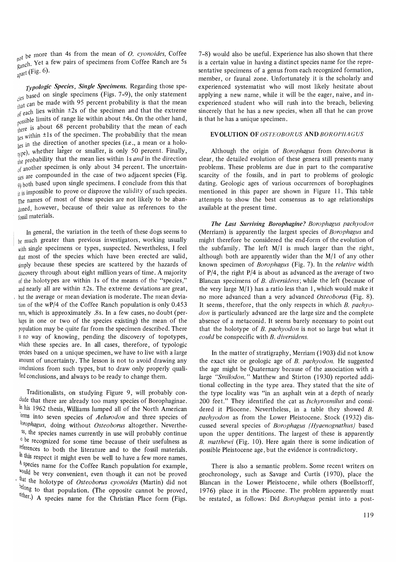<sub>not</sub> be more than 4s from the mean of *O. cyonoides*, Coffee  $R$  anch. Yet a few pairs of specimens from Coffee Ranch are 5s apart (Fig. 6).

*Typologie Species, Single Specimens.* Regarding those spe-  $\frac{1}{108}$  based on single specimens (Figs. 7-9), the only statement  $_{\text{that}}$  can be made with 95 percent probability is that the mean  $\frac{f}{f}$  each lies within  $\pm 2s$  of the specimen and that the extreme <sup>or v</sup><sub>r</sub></sub>  $\frac{1}{1}$  and the other hand,  $\frac{1}{1}$  about  $\pm 4$ s. On the other hand,  $\frac{p}{\text{there}}$  is about 68 percent probability that the mean of each  $\frac{1}{\log x}$  within  $\pm 1s$  of the specimen. The probability that the mean  $\frac{1}{\text{lies in}}$  the direction of another species (i.e., a mean or a holo $t_{\text{cycle}}$ , whether larger or smaller, is only 50 percent. Finally,  $\frac{\partial F}{\partial t}$  probability that the mean lies within 1s *and* in the direction of another specimen is only about 34 percent. The uncertainties are compounded in the case of two adjacent species (Fig.  $9)$  both based upon single specimens. I conclude from this that  $\frac{1}{11}$  is impossible to prove or disprove the validity of such species. The names of most of these species are not likely to be abandoned, however, because of their value as references to the fossil materials.

In general, the variation in the teeth of these dogs seems to  $he$  much greater than previous investigators, working usually with single specimens or types, suspected. Nevertheless, I feel that most of the species which have been erected are valid, simply because these species are scattered by the hazards of discovery through about eight million years of time. A majority of the holotypes are within Is of the means of the "species," and nearly all are within  $\pm 2s$ . The extreme deviations are great, but the average or mean deviation is moderate. The mean deviation of the wP/4 of the Coffee Ranch population is only 0.453 nm, which is approximately .8s. In a few cases, no doubt (perhaps in one or two of the species existing) the mean of the population may be quite far from the specimen described. There is no way of knowing, pending the discovery of topotypes, which these species are. In all cases, therefore, of typologic species based on a unique specimen, we have to live with a large amount of uncertainty. The lesson is not to avoid drawing any conclusions from such types, but to draw only properly qualified conclusions, and always to be ready to change them.

Traditionalists, on studying Figure 9, will probably conclude that there are already too many species of Borophaginae. In his 1962 thesis, Williams lumped all of the North American orms into seven species of *Aelurodon* and three species of *lorophagus,* doing without *Osteoborus* altogether. Neverthe- '5S, the species names currently in use will probably continue  $c$  be recognized for some time because of their usefulness as references to both the literature and to the fossil materials. In this respect it might even be well to have a few more names. A species name for the Coffee Ranch population for example, ~oUld be very convenient, even though it can not be proved <sup>t that</sup> the holotype of *Osteoborus cyonoides* (Martin) did not belong to that population. (The opposite cannot be proved, either.) A species name for the Christian Place form (Figs. 7 -8) would also be useful. Experience has also shown that there is a certain value in having a distinct species name for the representative specimens of a genus from each recognized formation, member, or faunal zone. Unfortunately it is the scholarly and experienced systematist who will most likely hesitate about applying a new name, while it will be the eager, naive, and inexperienced student who will rush into the breach, believing sincerely that he has a new species, when all that he can prove is that he has a unique specimen.

#### **EVOLUTION OF OSTEOBORUS AND BOROPHAGUS**

AlthOUgll the origin of *Borophagus* from *Osteoborus* is clear, the detailed evolution of these genera still presents many problems. These problems are due in part to the comparative scarcity of the fossils, and in part to problems of geologic dating. Geologic ages of various occurrences of borophagines mentioned in this paper are shown in Figure 11. This table attempts to show the best consensus as to age relationships available at the present time.

*The Last Surviving Borophagine? Borophagus pachyodon*  (Merriam) is apparently the largest species of *Borophagus* and might therefore be considered the end-form of the evolution of the subfamily. The left  $M/1$  is much larger than the right, although both are apparently wider than the M/l of any other known specimen of *Borophagus* (Fig. 7). In the *relative* width of  $P/4$ , the right  $P/4$  is about as advanced as the average of two Blancan specimens of *B. diversidens*; while the left (because of the very large  $M/1$ ) has a ratio less than 1, which would make it no more advanced than a very advanced *Osteoborus* (Fig. 8). It seems, therefore, that the only respects in which *B. pachyodon* is particularly advanced are the large size and the complete absence of a metaconid. It seems barely necessary to point out that the holotype of *B. pachyodon* is not so large but what it *could* be conspecific with *B. diversidens.* 

In the matter of stratigraphy, Merriam (1903) did not know the exact site or geologic age of *B. pachyodon.* He suggested the age might be Quaternary because of the association with a large *"Smilodon."* Matthew and Stirton (1930) reported additional collecting in the type area. They stated that the site of the type locality was "in an asphalt vein at a depth of nearly 200 feet." They identified the cat as *Ischyrosmilus* and considered it Pliocene. Nevertheless, in a table they showed B. *pachyodon* as from the Lower Pleistocene. Stock (1932) discussed several species of *Borophagus (Hyaenognathus)* based upon the upper dentitions. The largest of these is apparently *B. matthewi* (Fig. 10). Here again there is some indication of possible Pleistocene age, but the evidence is contradictory.

There is also a semantic problem. Some recent writers on geochronology, such as Savage and Curtis (1970), place the Blancan in the Lower Pleistocene, while others (Boellstorff, 1976) place it in the Pliocene. The problem apparently must be restated, as follows: Did *Borophagus* persist into a post-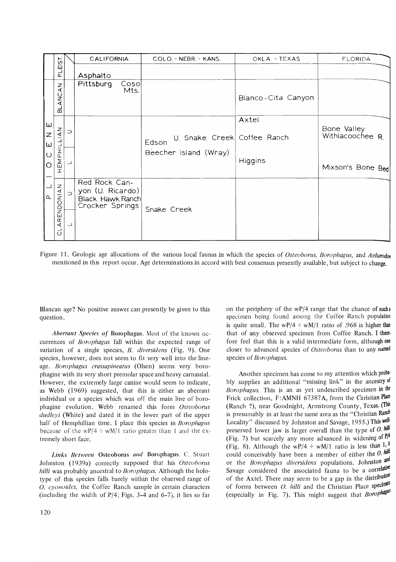|                                              | EIST.                              |                | CALIFORNIA                                                               | COLO. - NEBR. - KANS.                                         | OKLA. - TEXAS      | <b>FLORIDA</b>                                      |
|----------------------------------------------|------------------------------------|----------------|--------------------------------------------------------------------------|---------------------------------------------------------------|--------------------|-----------------------------------------------------|
|                                              | 군                                  |                | Asphalto                                                                 |                                                               |                    |                                                     |
| ш<br>Z<br>ш<br>$\cup$<br>$\circ$<br>$\Omega$ | z<br>◀<br>ANC.<br>ക്               |                | Pittsburg<br>Cosol<br>Mts.                                               |                                                               | Blanco-Cita Canyon |                                                     |
|                                              | $\overline{4}$<br>پ<br>EMPHIL<br>I | $\supset$      |                                                                          | U. Snake Creek Coffee Ranch<br>Edson<br>Beecher Island (Wray) | Axtel<br>Higgins   | Bone Valley<br>Withlacoochee R<br>Mixson's Bone Bed |
|                                              | RENDONIAN<br>∢<br>ರ                | $\supset$<br>┙ | Red Rock Can-<br>yon (U. Ricardo)<br>Black Hawk Ranch<br>Crocker Springs | Snake Creek                                                   |                    |                                                     |

Figure II. Geologic age allocations of the various local faunas in which the species of *Osteoborus, Borophagus,* and *Aelurodon*  mentioned in this report occur. Age determinations in accord with best consensus presently available, but subject to change.

Blancan age? No positive answer can presently be given to this question.

*Aberrant Species of* Borophagus. Most of the known occurrences of *Borophagus* fall within the expected range of variation of a single species, *B. diversidens* (Fig. 9). One species, however, does not seem to fit very well into the lineage. *Borophagus crassapineatus* (Olsen) seems very borophagine with its very short premolar space and heavy carnassial. However, the extremely large canine would seem to indicate, as Webb (1969) suggested, that this is either an aberrant individual or a species which was off the main line of borophagine evolution. Webb renamed this form *Osteoborus dudleyi* (White) and dated it in the lower part of the upper half of Hemphillian time. I place this species in *Borophagus*  because of the wP/4  $\div$  wM/1 ratio greater than 1 and the extremely short face.

*Links Between* Osteoborus *and* Borophagus. C. Stuart Johnston (1939a) correctly supposed that his *Osteoborus hilli* was probably ancestral to *Borophagus*. Although the holotype of this species falls barely within the observed range of O. *cyonoides,* the Coffee Ranch sample in certain characters (including the width of  $P/4$ ; Figs. 3-4 and 6-7), it lies so far

on the periphery of the  $\text{wP}/4$  range that the chance of such a specimen being found among the Coffee Ranch population is quite small. The wP/4  $\div$  wM/1 ratio of .968 is higher than that of any observed specimen from Coffee Ranch. I there· fore feel that this is a valid intermediate form, although one closer to advanced species of *Osteoborus* than to any named species of *Borophagus.* 

Another specimen has come to my attention which proba· bly supplies an additional "missing link" in the ancestry of *Borophagus*. This is an as yet undescribed specimen in the Frick collection, F:AMNH 67387A, from the Christian Place (Ranch ?), near Goodnight, Armstrong County, Texas. (This is presumably in at least the same area as the "Christian Ranch" Locality" discussed by Johnston and Savage, 1955.) This wellpreserved lower jaw is larger overall than the type of  $O$ .  $h^{illi}$ (Fig. 7) but scarcely any more advanced in widening of  $P/4$ (Fig. 8). Although the wP/4  $\div$  wM/1 ratio is less than 1, if could conceivably have been a member of either the  $\ddot{o}$ .  $h^{\text{diff}}$ or the *Borophagus diversidens* populations. Johnston and Savage considered the associated fauna to be a correlative of the Axtel. There may seem to be a gap in the distribution of forms between O. hilli and the Christian Place specimen (especially in Fig. 7). This might suggest that *Borophagus*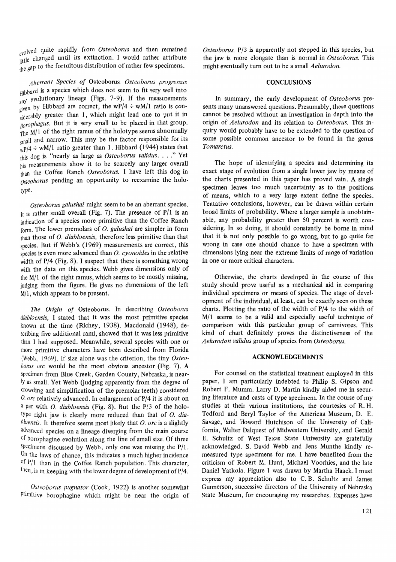<sub>evolved</sub> quite rapidly from *Osteoborus* and then remained even changed until its extinction. I would rather attribute the gap to the fortuitous distribution of rather few specimens.

*Aberrant Species of* Osteoborus. *Osteoborus progressus*  Hibbard is a species which does not seem to fit very well into  $\frac{1}{2}$ any evolutionary lineage (Figs. 7-9). If the measurements given by Hibbard are correct, the wP/4  $\div$  wM/1 ratio is considerably greater than 1, which might lead one to put it in *Borophagus.* But it is very small to be placed in that group. The  $M/1$  of the right ramus of the holotype seems abnormally small and narrow. This may be the factor responsible for its  $wP/4$  ÷  $wM/1$  ratio greater than 1. Hibbard (1944) states that this dog is "nearly as large as *Osteoborus validus .* ... " Yet his measurements show it to be scarcely any larger overall than the Coffee Ranch *Osteoborus.* I have left this dog in *Osteoborus* pending an opportunity to reexamine the holotype.

*Osteoborus galushai* might seem to be an aberrant species. It is rather small overall (Fig. 7). The presence of *P/I* is an indication of a species more primitive than the Coffee Ranch form. The lower premolars of O. *galushai* are simpler in form than those of O. *diabloensis,* therefore less primitive than that species. But if Webb's (1969) measurements are correct, this species is even more advanced than O. *cyonoides* in the relative width of *P/4* (Fig. 8). I suspect that there is something wrong with the data on this species. Webb gives dimensions only of the  $M/1$  of the right ramus, which seems to be mostly missing, judging from the figure. He gives no dimensions of the left  $M/1$ , which appears to be present.

*The Origin of* Osteoborus. In describing *Osteoborus diabloensis,* I stated that it was the most primitive species known at the time (Richey, 1938). Macdonald (1948), describing five additional rami, showed that it was less primitive than I had supposed. Meanwhile, several species with one or more primitive characters have been described from Florida (Webb, 1969). If size alone was the criterion, the tiny *Osteoborus orc* would be the most obvious ancestor (Fig. 7). A specimen from Blue Creek, Garden County, Nebraska, is nearly as small. Yet Webb Gudging apparently from the degree of crowding and simplification of the premolar teeth) considered O. *arc* relatively advanced. In enlargement of *P/4* it is about on a par with O. *diabloensis* (Fig. 8). But the *P/3* of the holotype right jaw is clearly more reduced than that of 0. *diabloensis.* It therefore seems most likely that O. *orc* is a slightly advanced species on a lineage diverging from the main course of borophagine evolution along the line of small size. Of three specimens discussed by Webb, only one was missing the  $P/1$ . On the laws of chance, this indicates a much higher incidence of *P/I* than in the Coffee Ranch population. This character, then, is in keeping with the lower degree of development *ofP/4.* 

*Osteoborus pugnator* (Cook, 1922) is another somewhat primitive borophagine which might be near the origin of *Osteoborus. P/3* is apparently not stepped in this species, but the jaw is more elongate than is normal in *Osteoborus.* This might eventually turn out to be a small *Aelurodon.* 

#### **CONCLUSIONS**

In summary, the early development of *Osteoborus* presents many unanswered questions. Presumably, these questions cannot be resolved without an investigation in depth into the origin of *Aelurodon* and its relation to *Osteoborus.* This inquiry would probably have to be extended to the question of some possible common ancestor to be found in the genus *Tomarctus.* 

The hope of identifying a species and determining its exact stage of evolution from a single lower jaw by means of the charts presented in this paper has proved vain. A single specimen leaves too much uncertainty as to the positions of means, which to a very large extent define the species. Tentative conclusions, however, can be drawn within certain broad limits of probability. Where a larger sample is unobtainable, any probability greater than 50 percent is worth considering. In so doing, it should constantly be borne in mind that it is not only possible to go wrong, but to go quite far wrong in case one should chance to have a specimen with dimensions lying near the extreme limits of range of variation in one or more critical characters.

Otherwise, the charts developed in the course of this study should prove useful as a mechanical aid in comparing individual specimens or means of species. The stage of development of the individual, at least, can be exactly seen on these charts. Plotting the ratio of the width of *P/4* to the width of  $M/1$  seems to be a valid and especially useful technique of comparison with this particular group of carnivores. This kind of chart defmitely proves the distinctiveness of the *Aelurodon validus* group of species from *Osteoborus.* 

#### **ACKNOWLEDGEMENTS**

For counsel on the statistical treatment employed in this paper, I am particularly indebted to Philip S. Gipson and Robert F. Mumm. Larry D. Martin kindly aided me in securing literature and casts of type specimens. In the course of my studies at their various institutions, the courtesies of R. H. Tedford and Beryl Taylor of the American Museum, D. E. Savage, and Howard Hutchison of the University of California, Walter Dalquest of Midwestern University, and Gerald E. Schultz of West Texas State University are gratefully acknowledged. S. David Webb and Jens Munthe kindly remeasured type specimens for me. I have benefited from the criticism of Robert M. Hunt, Michael Voorhies, and the late Daniel Yatkola. Figure 1 was drawn by Martha Haack. I must express my appreciation also to C. B. Schultz and James Gunnerson, successive directors of the University of Nebraska State Museum, for encouraging my researches. Expenses have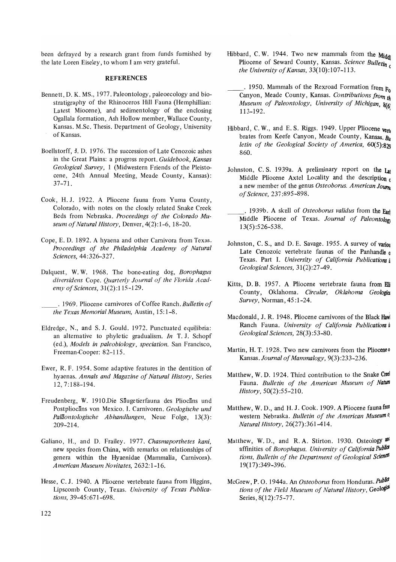been defrayed by a research grant from funds furnished by the late Loren Eiseley, to whom I am very grateful.

#### **REFERENCES**

- Bennett, D. K. MS., 1977. Paleontology, paleoecology and biostratigraphy of the Rhinoceros Hill Fauna (Hemphillian: Latest Miocene), and sedimentology of the enclosing Ogallala formation, Ash Hollow member, Wallace County, Kansas. M.Sc. Thesis. Department of Geology, University of Kansas.
- Boellstorff, J. D. 1976. The succession of Late Cenozoic ashes in the Great Plains: a progress report. *Guidebook, Kansas Geological Survey,* 1 (Midwestern Friends of the Pleistocene, 24th Annual Meeting, Meade County, Kansas): 37-71.
- Cook, H. J. 1922. A Pliocene fauna from Yuma County, Colorado, with notes on the closely related Snake Creek Beds from Nebraska. *Proceedings of the Colorado Museum of Natural History,* Denver, 4(2): 1-6, 18-20.
- Cope, E. D. 1892. A hyaena and other Carnivora from Texas. *Proceedings of the Philadelphia Academy of Natural Sciences,* 44:326-327.
- Dalquest, W. W. 1968. The bone-eating dog, *Borophagus diversidens* Cope. *Quarterly Journal of the Florida Academy of Sciences, 31(2):115-129.*

. 1969. Pliocene carnivores of Coffee Ranch. *Bulletin of the Texas Memorial Museum,* Austin, 15: 1-8.

- Eldredge, N., and S. J. Gould. 1972. Punctuated equilibria: an alternative to phyletic gradualism. *In* T. J. Schopf (ed.), *Models in paleobiology, speciation.* San Francisco, Freeman-Cooper: 82-115.
- Ewer, R. F. 1954. Some adaptive features in the dentition of hyaenas. *Annals and Magazine of Natural History,* Series 12,7:188-194.
- Freudenberg, W. 1910.Die Säugetierfauna des Pliocäns und Postpliocäns von Mexico. I. Carnivoren. *Geologische und Palaontologische Abhandlungen,* Neue Folge, 13(3): 209-214.
- Galiano, H., and D. Frailey. 1977. *Chasmaporthetes kani,*  new species from China, with remarks on relationships of genera within the Hyaenidae (Mammalia, Carnivora). *American Museum Novitates,* 2632: 1-16.
- Hesse, C. J. 1940. A Pliocene vertebrate fauna from Higgins, Lipscomb County, Texas. *University of Texas Publications,* 39-45:671-698.
- Hibbard, C.W. 1944. Two new mammals from the Middle Pliocene of Seward County, Kansas. *Science Bulletin the University of Kansas*, 33(10):107-113.
- . 1950. Mammals of the Rexroad Formation from  $F_0$ Canyon, Meade County, Kansas. *Contributions from th Museum of Paleontology, University of Michigan, 8(6)* 113-192. '
- Hibbard, C. W., and E. S. Riggs. 1949. Upper Pliocene vertal brates from Keefe Canyon, Meade County, Kansas.  $R_u$ *letin of the Geological Society of America, 60(5):829*  860.
- Johnston, C. S. 1939a. A preliminary report on the Lat Middle Pliocene Axtel Locality and the description  $c$ a new member of the genus *Osteoborus. American Jounu of Science,* 237 :895-898.
- \_\_ . 1939b. A skull of *Osteoborus validus* from the Earl Middle Pliocene of Texas. *Journal of Paleontolon* 13(5) :526-538.
- Johnston, C. S., and D. E. Savage. 1955. A survey of variou Late Cenozoic vertebrate faunas of the Panhandle  $<sub>0</sub>$ </sub> Texas. Part I. *University of California Publications* i *Geological Sciences, 31(2):27-49.*
- Kitts, D. B. 1957. A Pliocene vertebrate fauna from Elli County, Oklahoma. *Circular*, Oklahoma Geologia *Survey,* Norman, 45 :1-24 .
- Macdonald, J. R. 1948. Pliocene carnivores of the Black Hawl Ranch Fauna. *University of California Publications u Geological Sciences, 28(3):53-80.*
- Martin, H. T. 1928. Two new carnivores from the Pliocene<sup>o</sup> Kansas. *Journal of Mammalogy, 9(3):233-236.*
- Matthew, W. D. 1924. Third contribution to the Snake Creel Fauna. *Bulletin of the American Museum of Natura History,* 50(2):55-210.
- Matthew, W. D., and H. J. Cook. 1909. A Pliocene fauna from western Nebraska. *Bulletin of the American Museum o. Natural History, 26(27):361-414.*
- Matthew, W.D., and R.A. Stirton. 1930. Osteology and affinities of *Borophagus. University of California Publici tions, Bulletin of the Department of Geological Sciences*  19(17) :349-396.
- McGrew, P. O. 1944a. An Osteoborus from Honduras. Public tions of the Field Museum of Natural History, Geologia Series, 8(12):75-77.